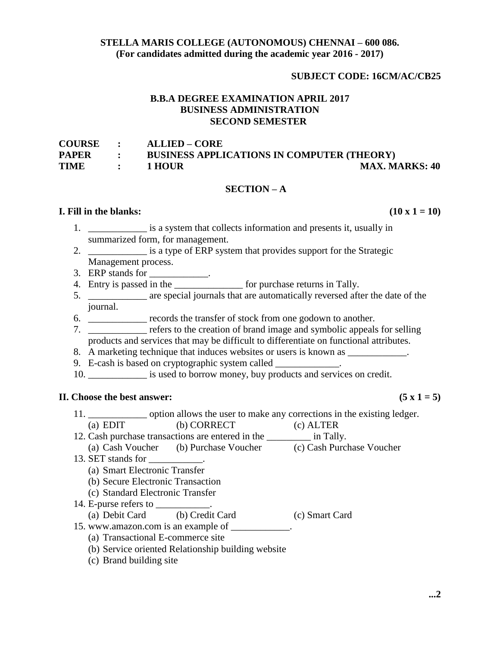## **STELLA MARIS COLLEGE (AUTONOMOUS) CHENNAI – 600 086. (For candidates admitted during the academic year 2016 - 2017)**

### **SUBJECT CODE: 16CM/AC/CB25**

# **B.B.A DEGREE EXAMINATION APRIL 2017 BUSINESS ADMINISTRATION SECOND SEMESTER**

| COURSE :     |                                | <b>ALLIED – CORE</b>                              |                       |
|--------------|--------------------------------|---------------------------------------------------|-----------------------|
| <b>PAPER</b> |                                | <b>BUSINESS APPLICATIONS IN COMPUTER (THEORY)</b> |                       |
| <b>TIME</b>  | <b><i>Committee States</i></b> | 1 HOUR                                            | <b>MAX. MARKS: 40</b> |

#### **SECTION – A**

# **I. Fill in the blanks:**  $(10 \times 1 = 10)$

- $\frac{1}{1}$  is a system that collects information and presents it, usually in summarized form, for management.
- 2. \_\_\_\_\_\_\_\_\_\_\_\_ is a type of ERP system that provides support for the Strategic Management process.
- 3. ERP stands for \_\_\_\_\_\_\_\_\_\_\_\_.
- 4. Entry is passed in the \_\_\_\_\_\_\_\_\_\_\_\_\_\_ for purchase returns in Tally.
- 5. \_\_\_\_\_\_\_\_\_\_\_\_ are special journals that are automatically reversed after the date of the journal.
- 6. \_\_\_\_\_\_\_\_\_\_\_\_ records the transfer of stock from one godown to another.
- 7. \_\_\_\_\_\_\_\_\_\_\_\_ refers to the creation of brand image and symbolic appeals for selling products and services that may be difficult to differentiate on functional attributes.
- 8. A marketing technique that induces websites or users is known as
- 9. E-cash is based on cryptographic system called \_\_\_\_\_\_\_\_\_\_\_\_.
- 10. \_\_\_\_\_\_\_\_\_\_\_\_\_\_ is used to borrow money, buy products and services on credit.

#### **II.** Choose the best answer:  $(5 \times 1 = 5)$

11. \_\_\_\_\_\_\_\_\_\_\_\_ option allows the user to make any corrections in the existing ledger. (a) EDIT (b) CORRECT (c) ALTER 12. Cash purchase transactions are entered in the \_\_\_\_\_\_\_\_\_ in Tally. (a) Cash Voucher (b) Purchase Voucher (c) Cash Purchase Voucher 13. SET stands for (a) Smart Electronic Transfer (b) Secure Electronic Transaction (c) Standard Electronic Transfer 14. E-purse refers to \_\_\_\_\_\_\_\_\_\_\_. (a) Debit Card (b) Credit Card (c) Smart Card 15. www.amazon.com is an example of  $\frac{1}{2}$ . (a) Transactional E-commerce site (b) Service oriented Relationship building website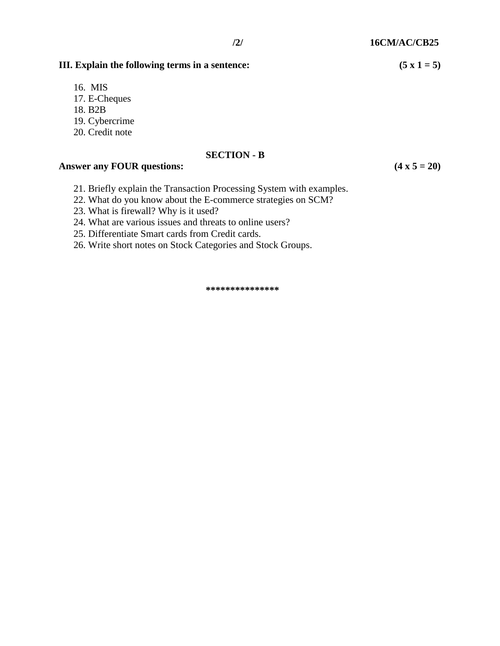# **III.** Explain the following terms in a sentence:  $(5 \times 1 = 5)$

- 16. MIS
- 17. E-Cheques
- 18. B2B
- 19. Cybercrime
- 20. Credit note

#### **SECTION - B**

## Answer any FOUR questions: (4 x 5 = 20)

- 21. Briefly explain the Transaction Processing System with examples.
- 22. What do you know about the E-commerce strategies on SCM?
- 23. What is firewall? Why is it used?
- 24. What are various issues and threats to online users?
- 25. Differentiate Smart cards from Credit cards.
- 26. Write short notes on Stock Categories and Stock Groups.

**\*\*\*\*\*\*\*\*\*\*\*\*\*\*\***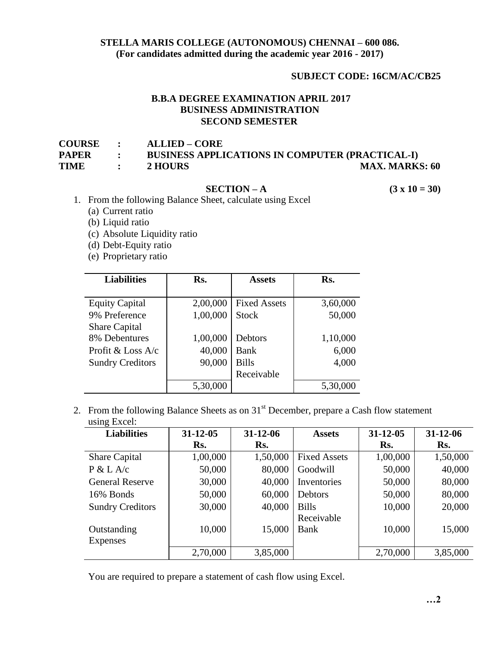# **STELLA MARIS COLLEGE (AUTONOMOUS) CHENNAI – 600 086. (For candidates admitted during the academic year 2016 - 2017)**

# **SUBJECT CODE: 16CM/AC/CB25**

# **B.B.A DEGREE EXAMINATION APRIL 2017 BUSINESS ADMINISTRATION SECOND SEMESTER**

| <b>COURSE</b> | $\bullet$ $\bullet$ | <b>ALLIED – CORE</b>                                   |                       |
|---------------|---------------------|--------------------------------------------------------|-----------------------|
| PAPER         | $\mathbb{R}^n$      | <b>BUSINESS APPLICATIONS IN COMPUTER (PRACTICAL-I)</b> |                       |
| TIME          |                     | 2 HOURS                                                | <b>MAX. MARKS: 60</b> |

# **SECTION** – **A** (3 x 10 = 30)

- 1. From the following Balance Sheet, calculate using Excel
	- (a) Current ratio
	- (b) Liquid ratio
	- (c) Absolute Liquidity ratio
	- (d) Debt-Equity ratio
	- (e) Proprietary ratio

| <b>Liabilities</b>      | Rs.      | <b>Assets</b>       | Rs.      |
|-------------------------|----------|---------------------|----------|
|                         |          |                     |          |
| <b>Equity Capital</b>   | 2,00,000 | <b>Fixed Assets</b> | 3,60,000 |
| 9% Preference           | 1,00,000 | <b>Stock</b>        | 50,000   |
| <b>Share Capital</b>    |          |                     |          |
| 8% Debentures           | 1,00,000 | Debtors             | 1,10,000 |
| Profit & Loss $A/c$     | 40,000   | <b>Bank</b>         | 6,000    |
| <b>Sundry Creditors</b> | 90,000   | <b>Bills</b>        | 4,000    |
|                         |          | Receivable          |          |
|                         | 5,30,000 |                     | 5,30,000 |

2. From the following Balance Sheets as on  $31<sup>st</sup>$  December, prepare a Cash flow statement using Excel:

| <b>Liabilities</b>      | $31 - 12 - 05$ | $31 - 12 - 06$ | <b>Assets</b>       | $31 - 12 - 05$ | $31 - 12 - 06$ |
|-------------------------|----------------|----------------|---------------------|----------------|----------------|
|                         | Rs.            | Rs.            |                     | Rs.            | Rs.            |
| <b>Share Capital</b>    | 1,00,000       | 1,50,000       | <b>Fixed Assets</b> | 1,00,000       | 1,50,000       |
| P & L A/c               | 50,000         | 80,000         | Goodwill            | 50,000         | 40,000         |
| <b>General Reserve</b>  | 30,000         | 40,000         | Inventories         | 50,000         | 80,000         |
| 16% Bonds               | 50,000         | 60,000         | Debtors             | 50,000         | 80,000         |
| <b>Sundry Creditors</b> | 30,000         | 40,000         | <b>Bills</b>        | 10,000         | 20,000         |
|                         |                |                | Receivable          |                |                |
| Outstanding             | 10,000         | 15,000         | Bank                | 10,000         | 15,000         |
| Expenses                |                |                |                     |                |                |
|                         | 2,70,000       | 3,85,000       |                     | 2,70,000       | 3,85,000       |

You are required to prepare a statement of cash flow using Excel.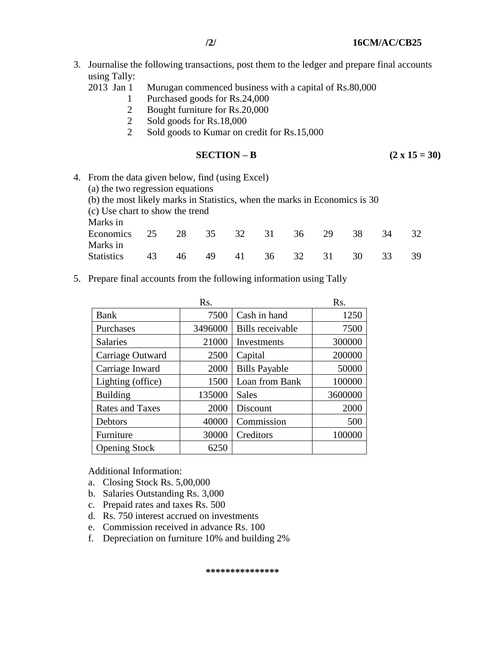- 3. Journalise the following transactions, post them to the ledger and prepare final accounts using Tally:
	- 2013 Jan 1 Murugan commenced business with a capital of Rs.80,000
		- 1 Purchased goods for Rs.24,000
		- 2 Bought furniture for Rs.20,000
		- 2 Sold goods for Rs.18,000
		- 2 Sold goods to Kumar on credit for Rs.15,000

$$
SECTION - B \qquad (2 \times 15 = 30)
$$

- 4. From the data given below, find (using Excel) (a) the two regression equations (b) the most likely marks in Statistics, when the marks in Economics is 30 (c) Use chart to show the trend Marks in Economics 25 28 35 32 31 36 29 38 34 32 Marks in Statistics 43 46 49 41 36 32 31 30 33 39
- 5. Prepare final accounts from the following information using Tally

|                        | Rs.     |                      |         |
|------------------------|---------|----------------------|---------|
| <b>Bank</b>            | 7500    | Cash in hand         | 1250    |
| Purchases              | 3496000 | Bills receivable     | 7500    |
| <b>Salaries</b>        | 21000   | Investments          | 300000  |
| Carriage Outward       | 2500    | Capital              | 200000  |
| Carriage Inward        | 2000    | <b>Bills Payable</b> | 50000   |
| Lighting (office)      | 1500    | Loan from Bank       | 100000  |
| <b>Building</b>        | 135000  | <b>Sales</b>         | 3600000 |
| <b>Rates and Taxes</b> | 2000    | Discount             | 2000    |
| Debtors                | 40000   | Commission           | 500     |
| Furniture              | 30000   | Creditors            | 100000  |
| <b>Opening Stock</b>   | 6250    |                      |         |

Additional Information:

- a. Closing Stock Rs. 5,00,000
- b. Salaries Outstanding Rs. 3,000
- c. Prepaid rates and taxes Rs. 500
- d. Rs. 750 interest accrued on investments
- e. Commission received in advance Rs. 100
- f. Depreciation on furniture 10% and building 2%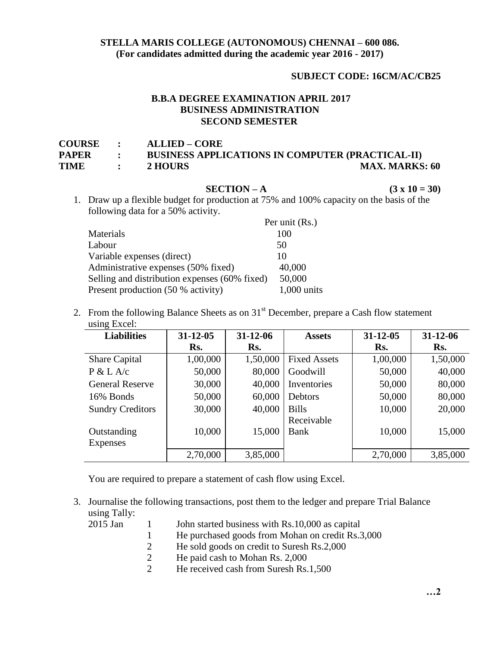## **STELLA MARIS COLLEGE (AUTONOMOUS) CHENNAI – 600 086. (For candidates admitted during the academic year 2016 - 2017)**

# **SUBJECT CODE: 16CM/AC/CB25**

# **B.B.A DEGREE EXAMINATION APRIL 2017 BUSINESS ADMINISTRATION SECOND SEMESTER**

| <b>COURSE :</b> |                             | <b>ALLIED – CORE</b>                                    |                       |
|-----------------|-----------------------------|---------------------------------------------------------|-----------------------|
| PAPER           |                             | <b>BUSINESS APPLICATIONS IN COMPUTER (PRACTICAL-II)</b> |                       |
| TIME            | $\sim$ $\sim$ $\sim$ $\sim$ | 2 HOURS                                                 | <b>MAX. MARKS: 60</b> |

**SECTION** – **A** (3 x 10 = 30) 1. Draw up a flexible budget for production at 75% and 100% capacity on the basis of the following data for a 50% activity.

|                                               | Per unit (Rs.) |
|-----------------------------------------------|----------------|
| Materials                                     | 100            |
| Labour                                        | 50             |
| Variable expenses (direct)                    | 10             |
| Administrative expenses (50% fixed)           | 40,000         |
| Selling and distribution expenses (60% fixed) | 50,000         |
| Present production (50 % activity)            | $1,000$ units  |

2. From the following Balance Sheets as on  $31<sup>st</sup>$  December, prepare a Cash flow statement using Excel:

| <b>Liabilities</b>      | $31 - 12 - 05$ | $31 - 12 - 06$ | <b>Assets</b>       | $31 - 12 - 05$ | $31 - 12 - 06$ |
|-------------------------|----------------|----------------|---------------------|----------------|----------------|
|                         | Rs.            | Rs.            |                     | Rs.            | Rs.            |
| <b>Share Capital</b>    | 1,00,000       | 1,50,000       | <b>Fixed Assets</b> | 1,00,000       | 1,50,000       |
| P & L A/c               | 50,000         | 80,000         | Goodwill            | 50,000         | 40,000         |
| <b>General Reserve</b>  | 30,000         | 40,000         | Inventories         | 50,000         | 80,000         |
| 16% Bonds               | 50,000         | 60,000         | Debtors             | 50,000         | 80,000         |
| <b>Sundry Creditors</b> | 30,000         | 40,000         | <b>Bills</b>        | 10,000         | 20,000         |
|                         |                |                | Receivable          |                |                |
| Outstanding             | 10,000         | 15,000         | Bank                | 10,000         | 15,000         |
| <b>Expenses</b>         |                |                |                     |                |                |
|                         | 2,70,000       | 3,85,000       |                     | 2,70,000       | 3,85,000       |

You are required to prepare a statement of cash flow using Excel.

3. Journalise the following transactions, post them to the ledger and prepare Trial Balance using Tally:

|  |  | 2015 Jan |  |
|--|--|----------|--|
|  |  |          |  |

- 2015 Jan 1 John started business with Rs.10,000 as capital
	- 1 He purchased goods from Mohan on credit Rs.3,000
	- 2 He sold goods on credit to Suresh Rs.2,000
	- 2 He paid cash to Mohan Rs. 2,000
	- 2 He received cash from Suresh Rs.1,500